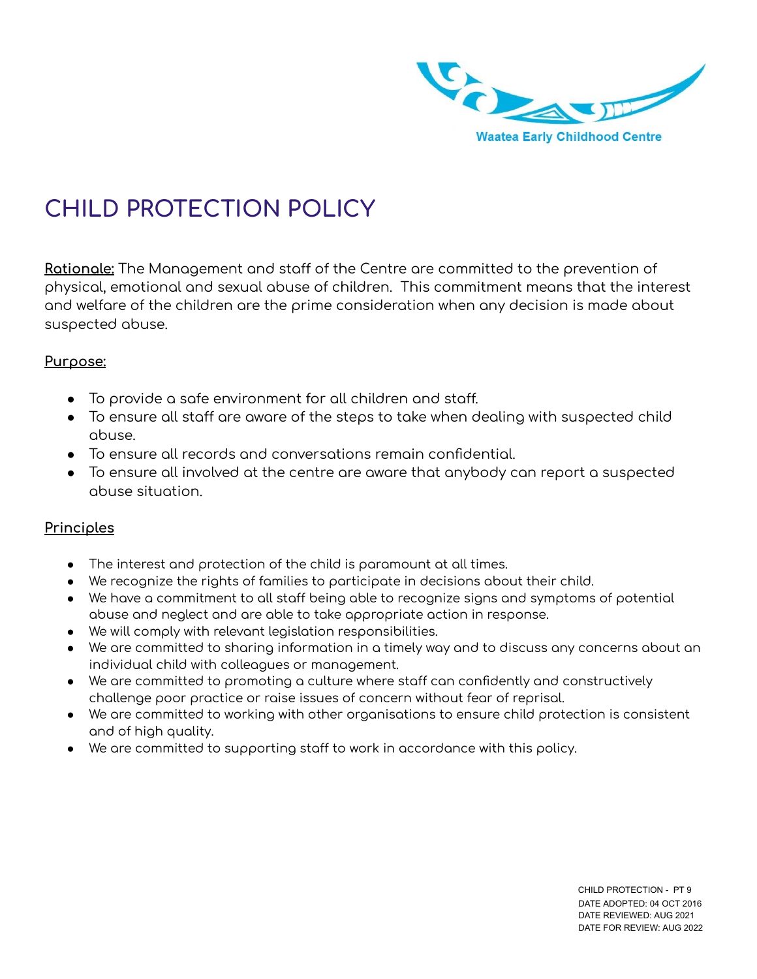

# **CHILD PROTECTION POLICY**

Rationale: The Management and staff of the Centre are committed to the prevention of physical, emotional and sexual abuse of children. This commitment means that the interest and welfare of the children are the prime consideration when any decision is made about suspected abuse.

#### **Purpose:**

- To provide a safe environment for all children and staff.
- $\bullet$  To ensure all staff are aware of the steps to take when dealing with suspected child abuse.
- To ensure all records and conversations remain confidential.
- To ensure all involved at the centre are aware that anybody can report a suspected abuse situation.

#### **Principles**

- The interest and protection of the child is paramount at all times.
- We recognize the rights of families to participate in decisions about their child.
- We have a commitment to all staff being able to recognize signs and symptoms of potential abuse and neglect and are able to take appropriate action in response.
- We will comply with relevant legislation responsibilities.
- We are committed to sharing information in a timely way and to discuss any concerns about an individual child with colleagues or management.
- We are committed to promoting a culture where staff can confidently and constructively challenge poor practice or raise issues of concern without fear of reprisal.
- We are committed to working with other organisations to ensure child protection is consistent and of high quality.
- We are committed to supporting staff to work in accordance with this policy.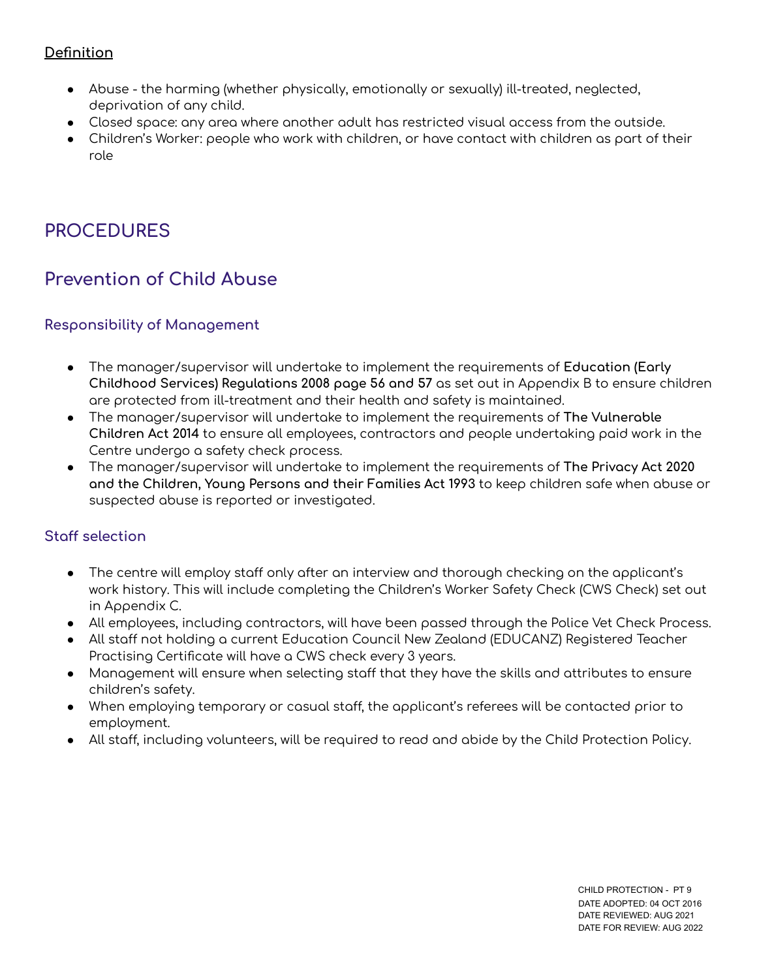# **Definition**

- Abuse the harming (whether physically, emotionally or sexually) ill-treated, neglected, deprivation of any child.
- Closed space: any area where another adult has restricted visual access from the outside.
- Children's Worker: people who work with children, or have contact with children as part of their role

# **PROCEDURES**

# **Prevention of Child Abuse**

#### **Responsibility of Management**

- The manager/supervisor will undertake to implement the requirements of **Education (Early Childhood Services) Regulations 2008 page 56 and 57** as set out in Appendix B to ensure children are protected from ill-treatment and their health and safety is maintained.
- The manager/supervisor will undertake to implement the requirements of **The Vulnerable Children Act 2014** to ensure all employees, contractors and people undertaking paid work in the Centre undergo a safety check process.
- The manager/supervisor will undertake to implement the requirements of **The Privacy Act 2020 and the Children, Young Persons and their Families Act 1993** to keep children safe when abuse or suspected abuse is reported or investigated.

#### **Staff selection**

- The centre will employ staff only after an interview and thorough checking on the applicant's work history. This will include completing the Children's Worker Safety Check (CWS Check) set out in Appendix C.
- All employees, including contractors, will have been passed through the Police Vet Check Process.
- All staff not holding a current Education Council New Zealand (EDUCANZ) Registered Teacher Practising Certificate will have a CWS check every 3 years.
- Management will ensure when selecting staff that they have the skills and attributes to ensure children's safety.
- When employing temporary or casual staff, the applicant's referees will be contacted prior to employment.
- All staff, including volunteers, will be required to read and abide by the Child Protection Policy.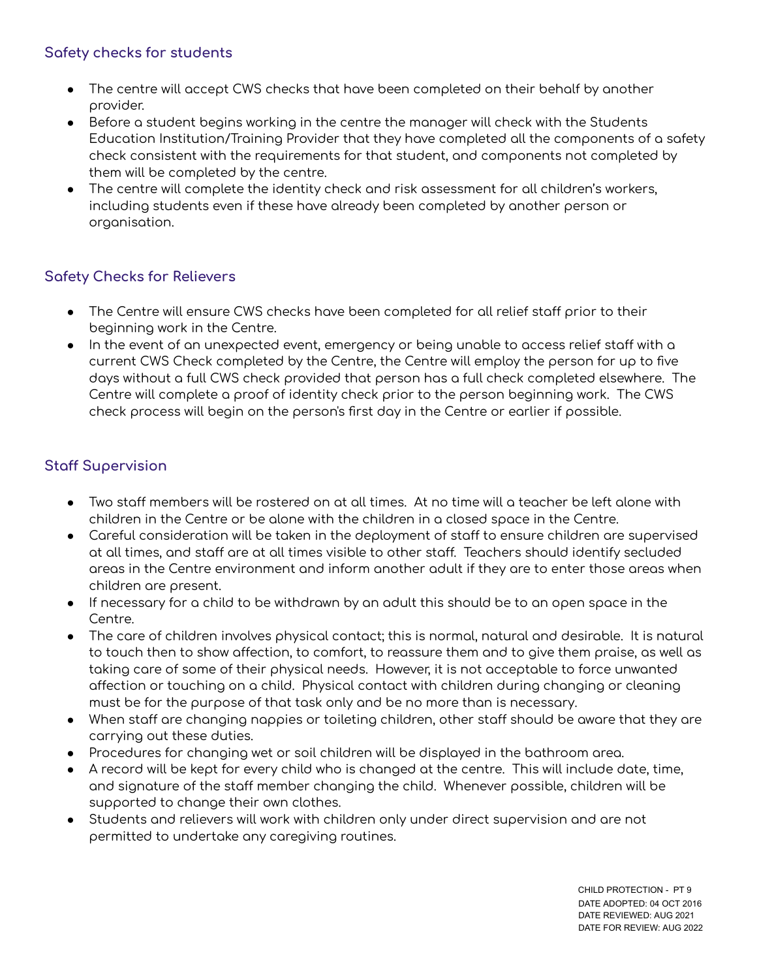#### **Safety checks for students**

- The centre will accept CWS checks that have been completed on their behalf by another provider.
- Before a student begins working in the centre the manager will check with the Students Education Institution/Training Provider that they have completed all the components of a safety check consistent with the requirements for that student, and components not completed by them will be completed by the centre.
- The centre will complete the identity check and risk assessment for all children's workers, including students even if these have already been completed by another person or organisation.

# **Safety Checks for Relievers**

- The Centre will ensure CWS checks have been completed for all relief staff prior to their beginning work in the Centre.
- In the event of an unexpected event, emergency or being unable to access relief staff with a current CWS Check completed by the Centre, the Centre will employ the person for up to five days without a full CWS check provided that person has a full check completed elsewhere. The Centre will complete a proof of identity check prior to the person beginning work. The CWS check process will begin on the person's first day in the Centre or earlier if possible.

# **Staff Supervision**

- $\bullet$  Two staff members will be rostered on at all times. At no time will a teacher be left alone with children in the Centre or be alone with the children in a closed space in the Centre.
- Careful consideration will be taken in the deployment of staff to ensure children are supervised at all times, and staff are at all times visible to other staff. Teachers should identify secluded areas in the Centre environment and inform another adult if they are to enter those areas when children are present.
- If necessary for a child to be withdrawn by an adult this should be to an open space in the Centre.
- The care of children involves physical contact; this is normal, natural and desirable. It is natural to touch then to show affection, to comfort, to reassure them and to give them praise, as well as taking care of some of their physical needs. However, it is not acceptable to force unwanted affection or touching on a child. Physical contact with children during changing or cleaning must be for the purpose of that task only and be no more than is necessary.
- When staff are changing nappies or toileting children, other staff should be aware that they are carrying out these duties.
- Procedures for changing wet or soil children will be displayed in the bathroom area.
- $\bullet$  A record will be kept for every child who is changed at the centre. This will include date, time, and signature of the staff member changing the child. Whenever possible, children will be supported to change their own clothes.
- Students and relievers will work with children only under direct supervision and are not permitted to undertake any caregiving routines.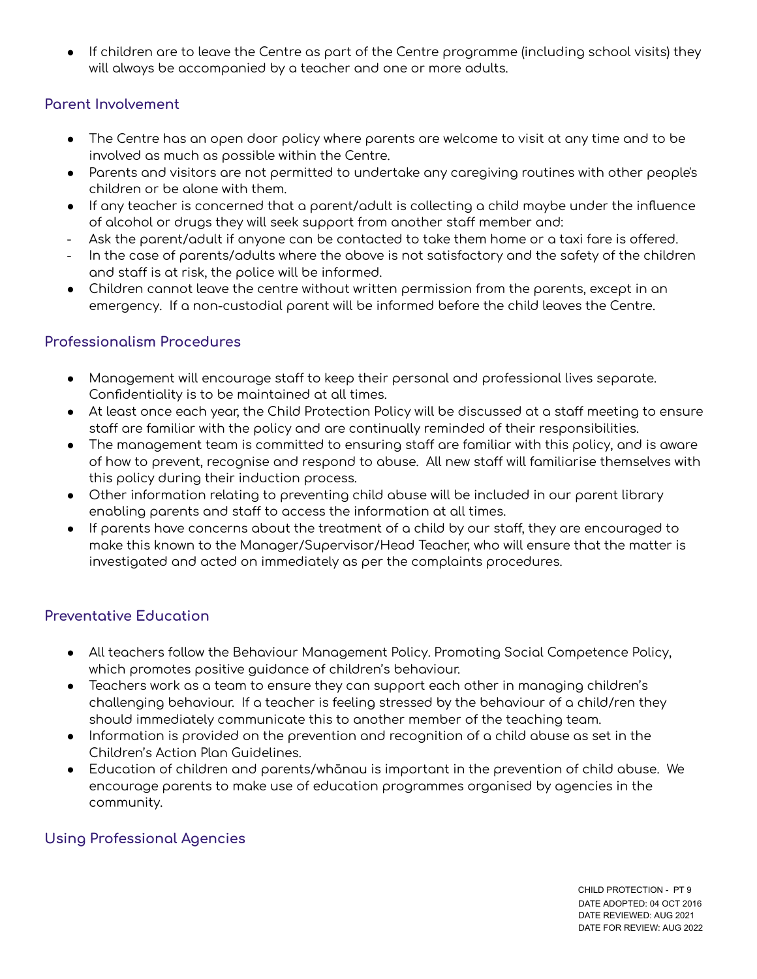If children are to leave the Centre as part of the Centre programme (including school visits) they will always be accompanied by a teacher and one or more adults.

## **Parent Involvement**

- The Centre has an open door policy where parents are welcome to visit at any time and to be involved as much as possible within the Centre.
- Parents and visitors are not permitted to undertake any caregiving routines with other people's children or be alone with them.
- If any teacher is concerned that a parent/adult is collecting a child maybe under the influence of alcohol or drugs they will seek support from another staff member and:
- Ask the parent/adult if anyone can be contacted to take them home or a taxi fare is offered.
- In the case of parents/adults where the above is not satisfactory and the safety of the children and staff is at risk, the police will be informed.
- Children cannot leave the centre without written permission from the parents, except in an emergency. If a non-custodial parent will be informed before the child leaves the Centre.

#### **Professionalism Procedures**

- Management will encourage staff to keep their personal and professional lives separate. Confidentiality is to be maintained at all times.
- At least once each year, the Child Protection Policy will be discussed at a staff meeting to ensure staff are familiar with the policy and are continually reminded of their responsibilities.
- The management team is committed to ensuring staff are familiar with this policy, and is aware of how to prevent, recognise and respond to abuse. All new staff will familiarise themselves with this policy during their induction process.
- Other information relating to preventing child abuse will be included in our parent library enabling parents and staff to access the information at all times.
- $\bullet$  If parents have concerns about the treatment of a child by our staff, they are encouraged to make this known to the Manager/Supervisor/Head Teacher, who will ensure that the matter is investigated and acted on immediately as per the complaints procedures.

# **Preventative Education**

- All teachers follow the Behaviour Management Policy. Promoting Social Competence Policy, which promotes positive guidance of children's behaviour.
- Teachers work as a team to ensure they can support each other in managing children's challenging behaviour. If a teacher is feeling stressed by the behaviour of a child/ren they should immediately communicate this to another member of the teaching team.
- Information is provided on the prevention and recognition of a child abuse as set in the Children's Action Plan Guidelines.
- Education of children and parents/whānau is important in the prevention of child abuse. We encourage parents to make use of education programmes organised by agencies in the community.

# **Using Professional Agencies**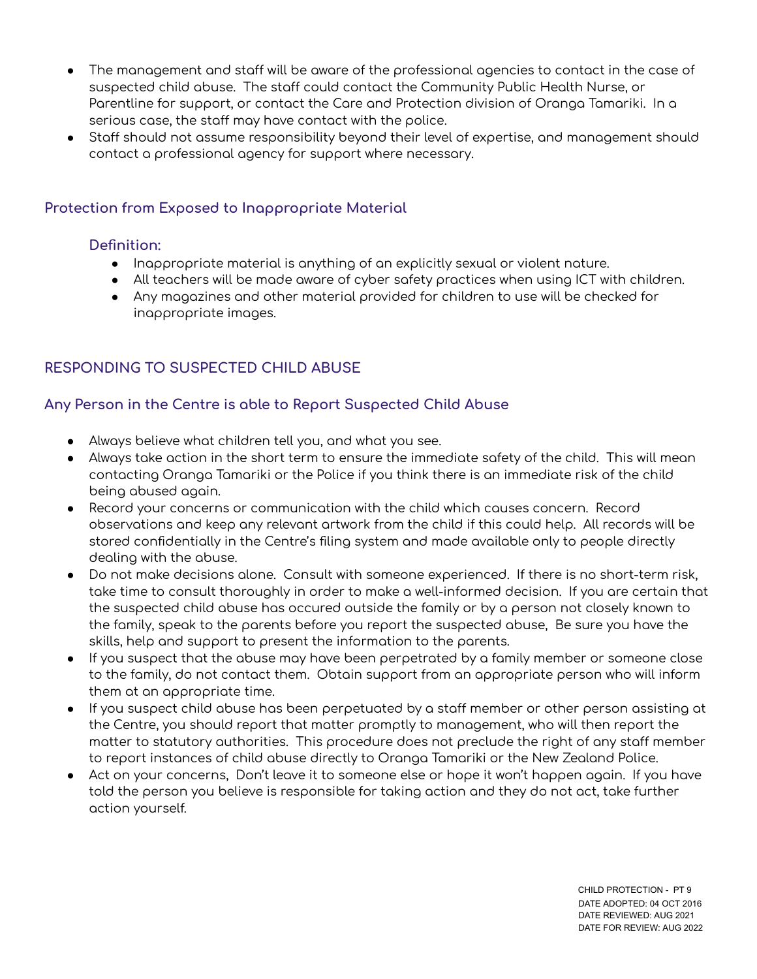- $\bullet$  The management and staff will be aware of the professional agencies to contact in the case of suspected child abuse. The staff could contact the Community Public Health Nurse, or Parentline for support, or contact the Care and Protection division of Oranga Tamariki. In a serious case, the staff may have contact with the police.
- Staff should not assume responsibility beyond their level of expertise, and management should contact a professional agency for support where necessary.

# **Protection from Exposed to Inappropriate Material**

#### **Definition:**

- Inappropriate material is anything of an explicitly sexual or violent nature.
- All teachers will be made aware of cyber safety practices when using ICT with children.
- Any magazines and other material provided for children to use will be checked for inappropriate images.

# **RESPONDING TO SUSPECTED CHILD ABUSE**

#### **Any Person in the Centre is able to Report Suspected Child Abuse**

- Always believe what children tell you, and what you see.
- Always take action in the short term to ensure the immediate safety of the child. This will mean contacting Oranga Tamariki or the Police if you think there is an immediate risk of the child being abused again.
- Record your concerns or communication with the child which causes concern. Record observations and keep any relevant artwork from the child if this could help. All records will be stored confidentially in the Centre's filing system and made available only to people directly dealing with the abuse.
- Do not make decisions alone. Consult with someone experienced. If there is no short-term risk, take time to consult thoroughly in order to make a well-informed decision. If you are certain that the suspected child abuse has occured outside the family or by a person not closely known to the family, speak to the parents before you report the suspected abuse, Be sure you have the skills, help and support to present the information to the parents.
- If you suspect that the abuse may have been perpetrated by a family member or someone close to the family, do not contact them. Obtain support from an appropriate person who will inform them at an appropriate time.
- If you suspect child abuse has been perpetuated by a staff member or other person assisting at the Centre, you should report that matter promptly to management, who will then report the matter to statutory authorities. This procedure does not preclude the right of any staff member to report instances of child abuse directly to Oranga Tamariki or the New Zealand Police.
- Act on your concerns, Don't leave it to someone else or hope it won't happen again. If you have told the person you believe is responsible for taking action and they do not act, take further action yourself.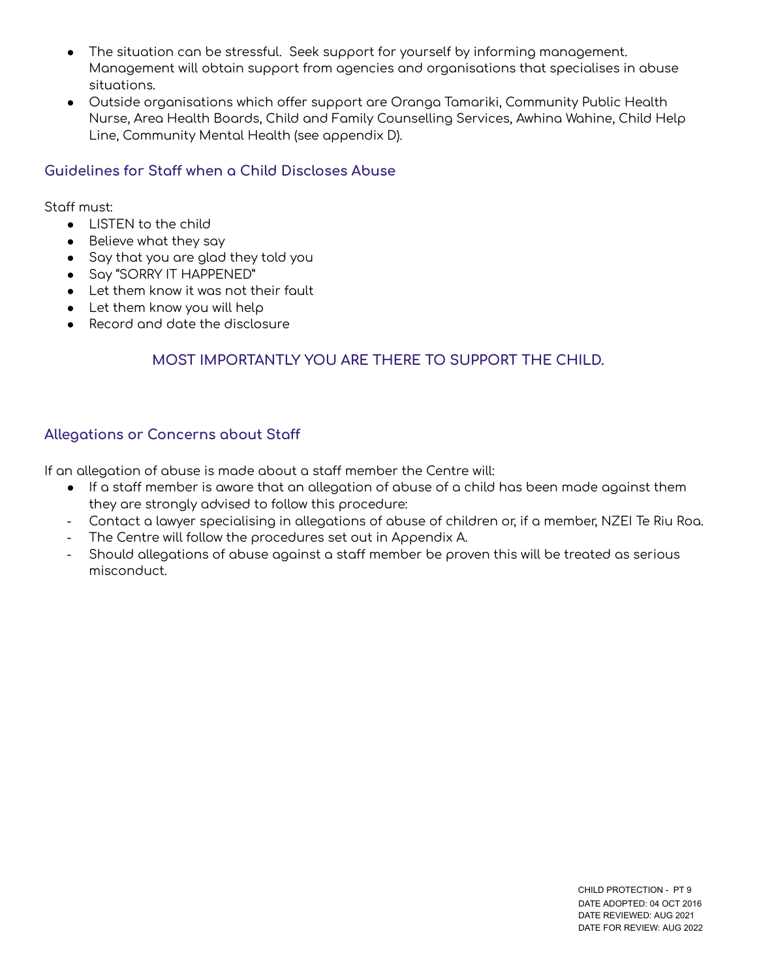- The situation can be stressful. Seek support for yourself by informing management. Management will obtain support from agencies and organisations that specialises in abuse situations.
- Outside organisations which offer support are Oranga Tamariki, Community Public Health Nurse, Area Health Boards, Child and Family Counselling Services, Awhina Wahine, Child Help Line, Community Mental Health (see appendix D).

#### **Guidelines for Sta when a Child Discloses Abuse**

Stoff must:

- LISTEN to the child
- Believe what they say
- Say that you are glad they told you
- Say "SORRY IT HAPPENED"
- Let them know it was not their fault
- Let them know you will help
- Record and date the disclosure

# **MOST IMPORTANTLY YOU ARE THERE TO SUPPORT THE CHILD.**

#### **Allegations or Concerns about Sta**

If an allegation of abuse is made about a staff member the Centre will:

- If a staff member is aware that an allegation of abuse of a child has been made against them they are strongly advised to follow this procedure:
- Contact a lawyer specialising in allegations of abuse of children or, if a member, NZEI Te Riu Roa.
- The Centre will follow the procedures set out in Appendix A.
- Should allegations of abuse against a staff member be proven this will be treated as serious misconduct.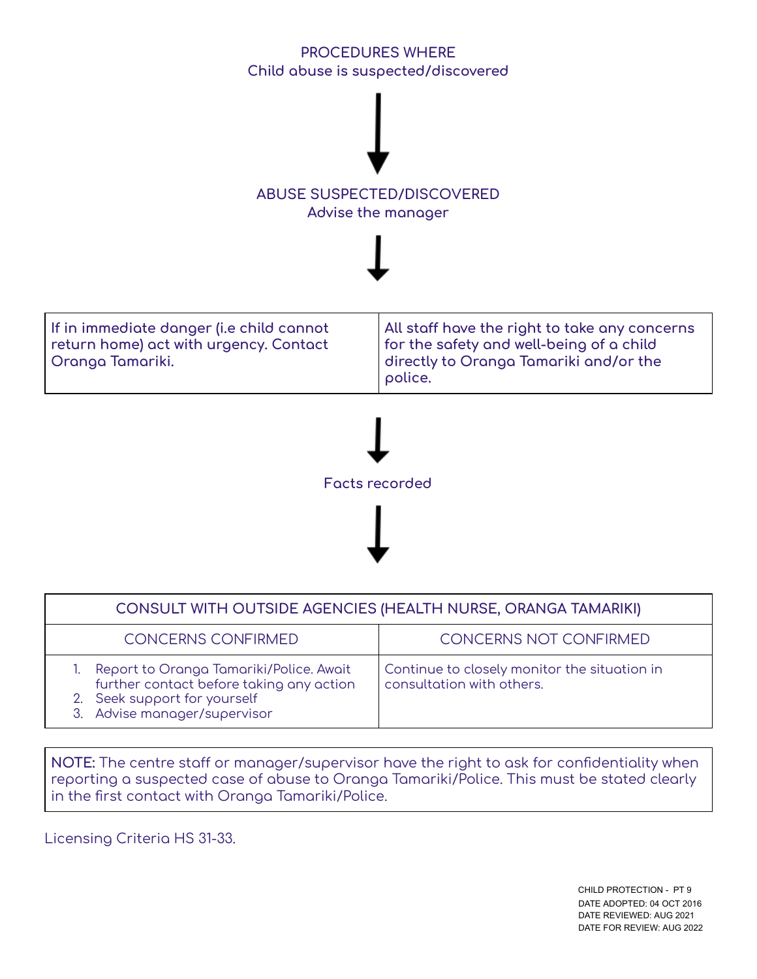# **PROCEDURES WHERE Child abuse is suspected/discovered**



**If in immediate danger (i.e child cannot return home) act with urgency. Contact Oranga Tamariki. All sta have the right to take any concerns for the safety and well-being of a child directly to Oranga Tamariki and/or the police.**



| CONSULT WITH OUTSIDE AGENCIES (HEALTH NURSE, ORANGA TAMARIKI)                                                                                          |                                                                           |
|--------------------------------------------------------------------------------------------------------------------------------------------------------|---------------------------------------------------------------------------|
| <b>CONCERNS CONFIRMED</b>                                                                                                                              | <b>CONCERNS NOT CONFIRMED</b>                                             |
| 1. Report to Oranga Tamariki/Police. Await<br>further contact before taking any action<br>2. Seek support for yourself<br>3. Advise manager/supervisor | Continue to closely monitor the situation in<br>consultation with others. |

**NOTE:** The centre staff or manager/supervisor have the right to ask for confidentiality when reporting a suspected case of abuse to Oranga Tamariki/Police. This must be stated clearly in the first contact with Oranga Tamariki/Police.

Licensing Criteria HS 31-33.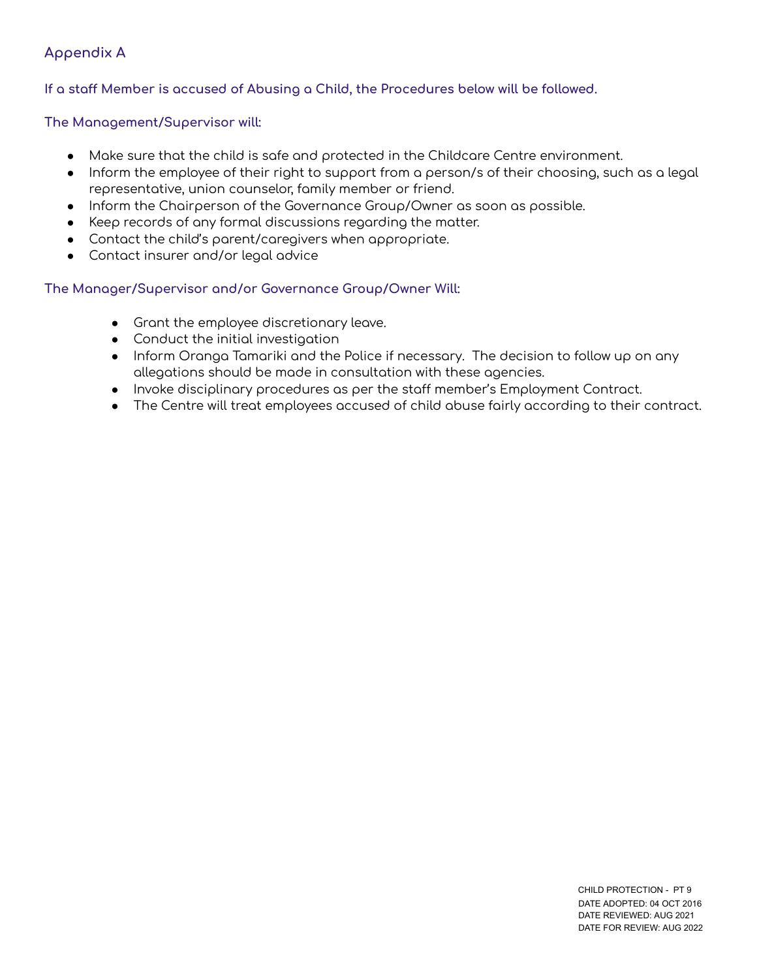#### **Appendix A**

#### **If a sta Member is accused of Abusing a Child, the Procedures below will be followed.**

#### **The Management/Supervisor will:**

- Make sure that the child is safe and protected in the Childcare Centre environment.
- Inform the employee of their right to support from a person/s of their choosing, such as a legal representative, union counselor, family member or friend.
- Inform the Chairperson of the Governance Group/Owner as soon as possible.
- Keep records of any formal discussions regarding the matter.
- Contact the child's parent/caregivers when appropriate.
- Contact insurer and/or legal advice

#### **The Manager/Supervisor and/or Governance Group/Owner Will:**

- Grant the employee discretionary leave.
- Conduct the initial investigation
- Inform Oranga Tamariki and the Police if necessary. The decision to follow up on any allegations should be made in consultation with these agencies.
- Invoke disciplinary procedures as per the staff member's Employment Contract.
- The Centre will treat employees accused of child abuse fairly according to their contract.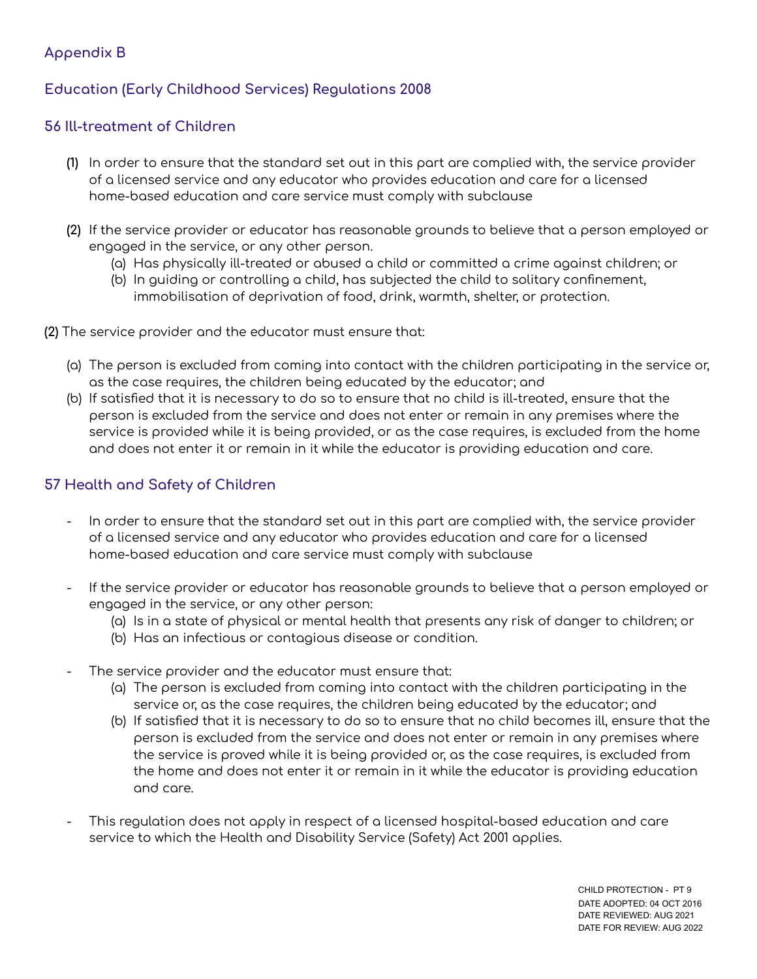#### **Appendix B**

#### **Education (Early Childhood Services) Regulations 2008**

#### **56 Ill-treatment of Children**

- **(1)** In order to ensure that the standard set out in this part are complied with, the service provider of a licensed service and any educator who provides education and care for a licensed home-based education and care service must comply with subclause
- **(2)** If the service provider or educator has reasonable grounds to believe that a person employed or engaged in the service, or any other person.
	- (a) Has physically ill-treated or abused a child or committed a crime against children; or
	- (b) In guiding or controlling a child, has subjected the child to solitary confinement, immobilisation of deprivation of food, drink, warmth, shelter, or protection.
- **(2)** The service provider and the educator must ensure that:
	- (a) The person is excluded from coming into contact with the children participating in the service or, as the case requires, the children being educated by the educator; and
	- (b) If satisfied that it is necessary to do so to ensure that no child is ill-treated, ensure that the person is excluded from the service and does not enter or remain in any premises where the service is provided while it is being provided, or as the case requires, is excluded from the home and does not enter it or remain in it while the educator is providing education and care.

## **57 Health and Safety of Children**

- In order to ensure that the standard set out in this part are complied with, the service provider of a licensed service and any educator who provides education and care for a licensed home-based education and care service must comply with subclause
- If the service provider or educator has reasonable grounds to believe that a person employed or engaged in the service, or any other person:
	- (a) Is in a state of physical or mental health that presents any risk of danger to children; or
	- (b) Has an infectious or contagious disease or condition.
- The service provider and the educator must ensure that:
	- (a) The person is excluded from coming into contact with the children participating in the service or, as the case requires, the children being educated by the educator; and
	- (b) If satisfied that it is necessary to do so to ensure that no child becomes ill, ensure that the person is excluded from the service and does not enter or remain in any premises where the service is proved while it is being provided or, as the case requires, is excluded from the home and does not enter it or remain in it while the educator is providing education and care.
- This regulation does not apply in respect of a licensed hospital-based education and care service to which the Health and Disability Service (Safety) Act 2001 applies.

CHILD PROTECTION - PT 9 DATE ADOPTED: 04 OCT 2016 DATE REVIEWED: AUG 2021 DATE FOR REVIEW: AUG 2022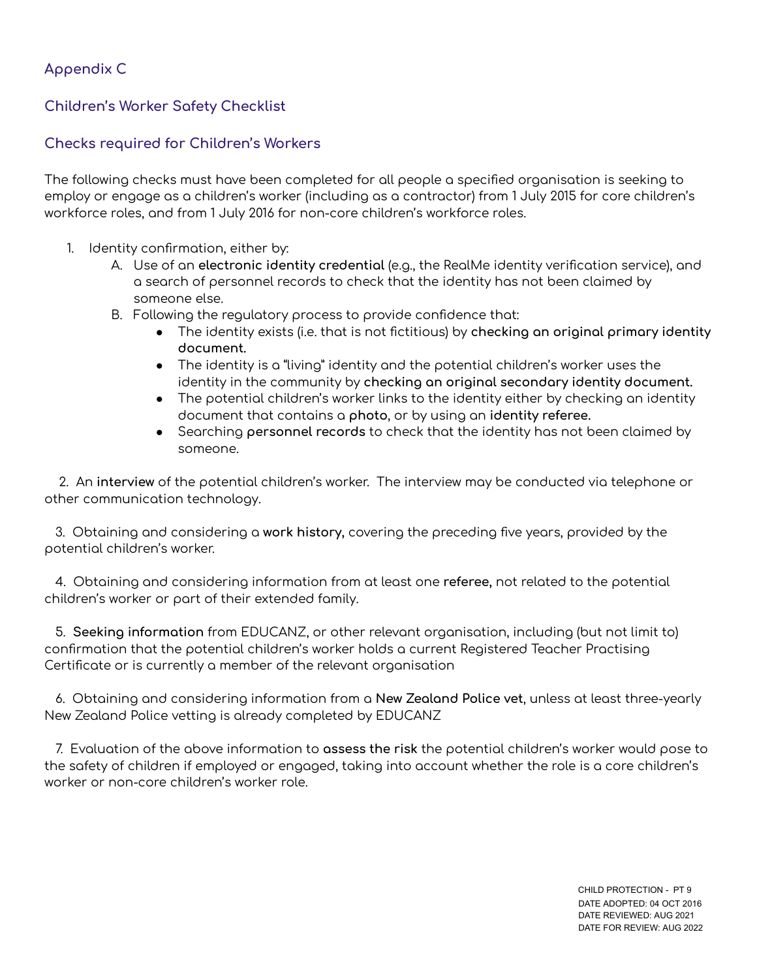#### **Appendix C**

#### **Children's Worker Safety Checklist**

#### **Checks required for Children's Workers**

The following checks must have been completed for all people a specified organisation is seeking to employ or engage as a children's worker (including as a contractor) from 1 July 2015 for core children's workforce roles, and from 1 July 2016 for non-core children's workforce roles.

- 1. Identity confirmation, either by:
	- A. Use of an **electronic identity credential** (e.g., the RealMe identity verification service), and a search of personnel records to check that the identity has not been claimed by someone else.
	- B. Following the regulatory process to provide confidence that:
		- The identity exists (i.e. that is not fictitious) by **checking an original primary identity document.**
		- The identity is a "living" identity and the potential children's worker uses the identity in the community by **checking an original secondary identity document.**
		- The potential children's worker links to the identity either by checking an identity document that contains a **photo**, or by using an **identity referee.**
		- Searching **personnel records** to check that the identity has not been claimed by someone.

2. An **interview** of the potential children's worker. The interview may be conducted via telephone or other communication technology.

3. Obtaining and considering a **work history,** covering the preceding five years, provided by the potential children's worker.

4. Obtaining and considering information from at least one **referee,** not related to the potential children's worker or part of their extended family.

5. **Seeking information** from EDUCANZ, or other relevant organisation, including (but not limit to) confirmation that the potential children's worker holds a current Registered Teacher Practising Certificate or is currently a member of the relevant organisation

6. Obtaining and considering information from a **New Zealand Police vet**, unless at least three-yearly New Zealand Police vetting is already completed by EDUCANZ

7. Evaluation of the above information to **assess the risk** the potential children's worker would pose to the safety of children if employed or engaged, taking into account whether the role is a core children's worker or non-core children's worker role.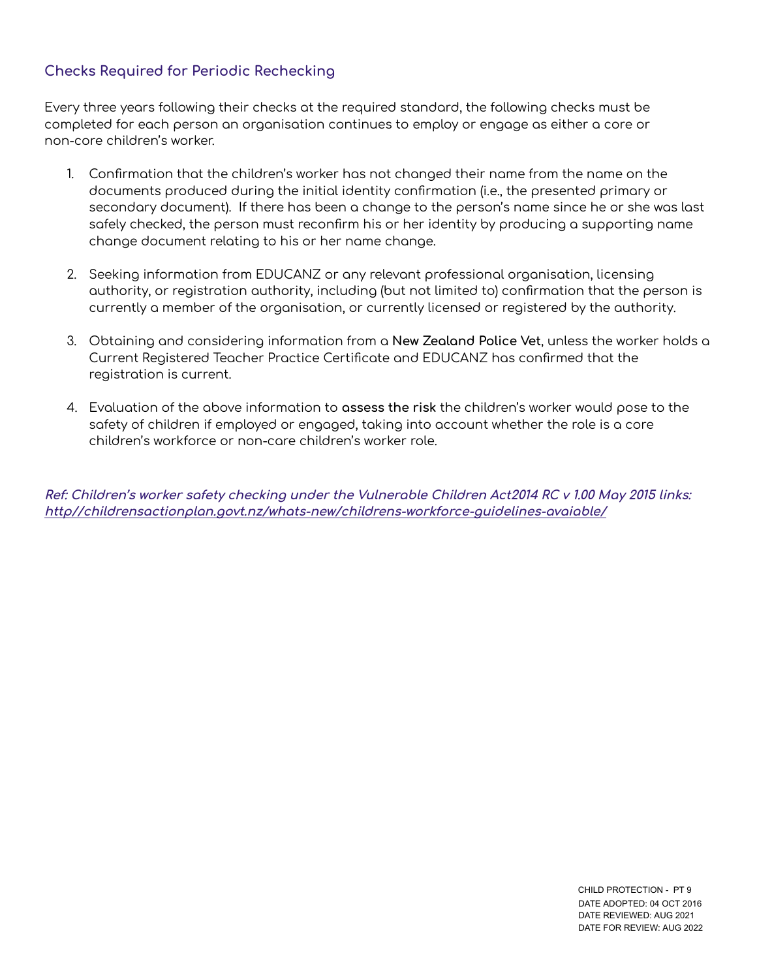# **Checks Required for Periodic Rechecking**

Every three years following their checks at the required standard, the following checks must be completed for each person an organisation continues to employ or engage as either a core or non-core children's worker.

- 1. Confirmation that the children's worker has not changed their name from the name on the documents produced during the initial identity confirmation (i.e., the presented primary or secondary document). If there has been a change to the person's name since he or she was last safely checked, the person must reconfirm his or her identity by producing a supporting name change document relating to his or her name change.
- 2. Seeking information from EDUCANZ or any relevant professional organisation, licensing authority, or registration authority, including (but not limited to) confirmation that the person is currently a member of the organisation, or currently licensed or registered by the authority.
- 3. Obtaining and considering information from a **New Zealand Police Vet**, unless the worker holds a Current Registered Teacher Practice Certificate and EDUCANZ has confirmed that the registration is current.
- 4. Evaluation of the above information to **assess the risk** the children's worker would pose to the safety of children if employed or engaged, taking into account whether the role is a core children's workforce or non-care children's worker role.

**Ref: Children's worker safety checking under the Vulnerable Children Act2014 RC <sup>v</sup> 1.00 May 2015 links: http//childrensactionplan.govt.nz/whats-new/childrens-workforce-guidelines-avaiable/**